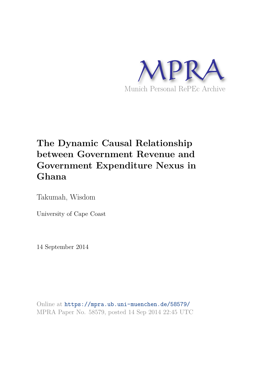

# **The Dynamic Causal Relationship between Government Revenue and Government Expenditure Nexus in Ghana**

Takumah, Wisdom

University of Cape Coast

14 September 2014

Online at https://mpra.ub.uni-muenchen.de/58579/ MPRA Paper No. 58579, posted 14 Sep 2014 22:45 UTC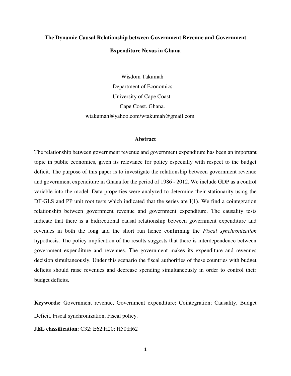# **The Dynamic Causal Relationship between Government Revenue and Government**

## **Expenditure Nexus in Ghana**

 Wisdom Takumah Department of Economics University of Cape Coast Cape Coast. Ghana. wtakumah@yahoo.com/wtakumah@gmail.com

#### **Abstract**

The relationship between government revenue and government expenditure has been an important topic in public economics, given its relevance for policy especially with respect to the budget deficit. The purpose of this paper is to investigate the relationship between government revenue and government expenditure in Ghana for the period of 1986 - 2012. We include GDP as a control variable into the model. Data properties were analyzed to determine their stationarity using the DF-GLS and PP unit root tests which indicated that the series are I(1). We find a cointegration relationship between government revenue and government expenditure. The causality tests indicate that there is a bidirectional causal relationship between government expenditure and revenues in both the long and the short run hence confirming the *Fiscal synchronization*  hypothesis. The policy implication of the results suggests that there is interdependence between government expenditure and revenues. The government makes its expenditure and revenues decision simultaneously. Under this scenario the fiscal authorities of these countries with budget deficits should raise revenues and decrease spending simultaneously in order to control their budget deficits.

**Keywords:** Government revenue, Government expenditure; Cointegration; Causality, Budget Deficit, Fiscal synchronization, Fiscal policy.

**JEL classification**: C32; E62;H20; H50;H62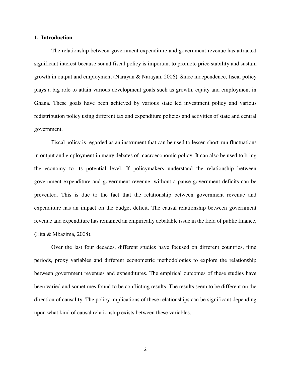#### **1. Introduction**

The relationship between government expenditure and government revenue has attracted significant interest because sound fiscal policy is important to promote price stability and sustain growth in output and employment (Narayan & Narayan, 2006). Since independence, fiscal policy plays a big role to attain various development goals such as growth, equity and employment in Ghana. These goals have been achieved by various state led investment policy and various redistribution policy using different tax and expenditure policies and activities of state and central government.

Fiscal policy is regarded as an instrument that can be used to lessen short-run fluctuations in output and employment in many debates of macroeconomic policy. It can also be used to bring the economy to its potential level. If policymakers understand the relationship between government expenditure and government revenue, without a pause government deficits can be prevented. This is due to the fact that the relationship between government revenue and expenditure has an impact on the budget deficit. The causal relationship between government revenue and expenditure has remained an empirically debatable issue in the field of public finance, (Eita & Mbazima, 2008).

Over the last four decades, different studies have focused on different countries, time periods, proxy variables and different econometric methodologies to explore the relationship between government revenues and expenditures. The empirical outcomes of these studies have been varied and sometimes found to be conflicting results. The results seem to be different on the direction of causality. The policy implications of these relationships can be significant depending upon what kind of causal relationship exists between these variables.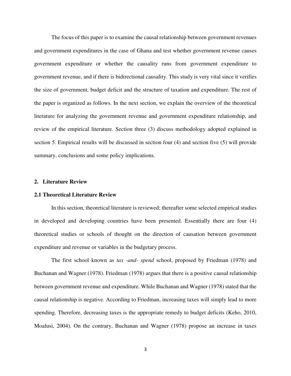The focus of this paper is to examine the causal relationship between government revenues and government expenditures in the case of Ghana and test whether government revenue causes government expenditure or whether the causality runs from government expenditure to government revenue, and if there is bidirectional causality. This study is very vital since it verifies the size of government, budget deficit and the structure of taxation and expenditure. The rest of the paper is organized as follows. In the next section, we explain the overview of the theoretical literature for analyzing the government revenue and government expenditure relationship, and review of the empirical literature. Section three (3) discuss methodology adopted explained in section 5. Empirical results will be discussed in section four (4) and section five (5) will provide summary, conclusions and some policy implications.

### **2. Literature Review**

#### **2.1 Theoretical Literature Review**

In this section, theoretical literature is reviewed; thereafter some selected empirical studies in developed and developing countries have been presented. Essentially there are four (4) theoretical studies or schools of thought on the direction of causation between government expenditure and revenue or variables in the budgetary process.

The first school known as *tax -and- spend* school, proposed by Friedman (1978) and Buchanan and Wagner (1978). Friedman (1978) argues that there is a positive causal relationship between government revenue and expenditure. While Buchanan and Wagner (1978) stated that the causal relationship is negative. According to Friedman, increasing taxes will simply lead to more spending. Therefore, decreasing taxes is the appropriate remedy to budget deficits (Keho, 2010, Moalusi, 2004). On the contrary, Buchanan and Wagner (1978) propose an increase in taxes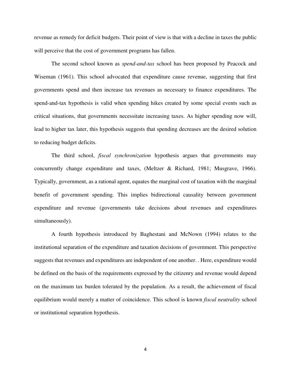revenue as remedy for deficit budgets. Their point of view is that with a decline in taxes the public will perceive that the cost of government programs has fallen.

The second school known as *spend-and-tax* school has been proposed by Peacock and Wiseman (1961). This school advocated that expenditure cause revenue, suggesting that first governments spend and then increase tax revenues as necessary to finance expenditures. The spend-and-tax hypothesis is valid when spending hikes created by some special events such as critical situations, that governments necessitate increasing taxes. As higher spending now will, lead to higher tax later, this hypothesis suggests that spending decreases are the desired solution to reducing budget deficits.

The third school, *fiscal synchronization* hypothesis argues that governments may concurrently change expenditure and taxes, (Meltzer & Richard, 1981; Musgrave, 1966). Typically, government, as a rational agent, equates the marginal cost of taxation with the marginal benefit of government spending. This implies bidirectional causality between government expenditure and revenue (governments take decisions about revenues and expenditures simultaneously).

A fourth hypothesis introduced by Baghestani and McNown (1994) relates to the institutional separation of the expenditure and taxation decisions of government. This perspective suggests that revenues and expenditures are independent of one another. . Here, expenditure would be defined on the basis of the requirements expressed by the citizenry and revenue would depend on the maximum tax burden tolerated by the population. As a result, the achievement of fiscal equilibrium would merely a matter of coincidence. This school is known *fiscal neutrality* school or institutional separation hypothesis.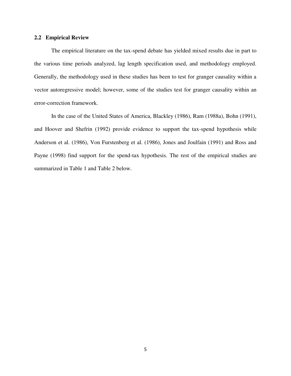## **2.2 Empirical Review**

The empirical literature on the tax-spend debate has yielded mixed results due in part to the various time periods analyzed, lag length specification used, and methodology employed. Generally, the methodology used in these studies has been to test for granger causality within a vector autoregressive model; however, some of the studies test for granger causality within an error-correction framework.

In the case of the United States of America, Blackley (1986), Ram (1988a), Bohn (1991), and Hoover and Shefrin (1992) provide evidence to support the tax-spend hypothesis while Anderson et al. (1986), Von Furstenberg et al. (1986), Jones and Joulfain (1991) and Ross and Payne (1998) find support for the spend-tax hypothesis. The rest of the empirical studies are summarized in Table 1 and Table 2 below.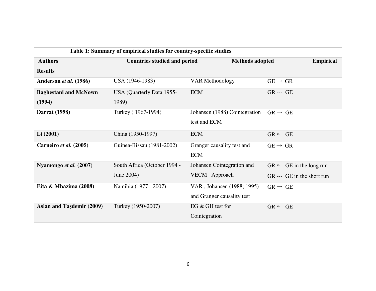| Table 1: Summary of empirical studies for country-specific studies |                                                               |                               |                                         |  |  |  |
|--------------------------------------------------------------------|---------------------------------------------------------------|-------------------------------|-----------------------------------------|--|--|--|
| <b>Authors</b>                                                     | <b>Countries studied and period</b><br><b>Methods adopted</b> |                               | <b>Empirical</b>                        |  |  |  |
| <b>Results</b>                                                     |                                                               |                               |                                         |  |  |  |
| Anderson et al. (1986)                                             | USA (1946-1983)                                               | <b>VAR Methodology</b>        | $GE \rightarrow GR$                     |  |  |  |
| <b>Baghestani and McNown</b>                                       | USA (Quarterly Data 1955-                                     | <b>ECM</b>                    | <b>GR</b> --- <b>GE</b>                 |  |  |  |
| (1994)                                                             | 1989)                                                         |                               |                                         |  |  |  |
| <b>Darrat</b> (1998)                                               | Turkey (1967-1994)                                            | Johansen (1988) Cointegration | $GR \rightarrow GE$                     |  |  |  |
|                                                                    |                                                               | test and ECM                  |                                         |  |  |  |
| Li(2001)                                                           | China (1950-1997)                                             | <b>ECM</b>                    | $GR \leftrightarrow$<br><b>GE</b>       |  |  |  |
| Carneiro et al. (2005)                                             | Guinea-Bissau (1981-2002)                                     | Granger causality test and    | $GE \rightarrow GR$                     |  |  |  |
|                                                                    |                                                               | <b>ECM</b>                    |                                         |  |  |  |
| Nyamongo et al. (2007)                                             | South Africa (October 1994 -                                  | Johansen Cointegration and    | $GR \leftrightarrow$ GE in the long run |  |  |  |
|                                                                    | June 2004)                                                    | VECM Approach                 | GR --- GE in the short run              |  |  |  |
| Eita & Mbazima (2008)                                              | Namibia (1977 - 2007)                                         | VAR, Johansen (1988; 1995)    | $GR \rightarrow GE$                     |  |  |  |
|                                                                    |                                                               | and Granger causality test    |                                         |  |  |  |
| <b>Aslan and Taşdemir (2009)</b>                                   | Turkey (1950-2007)                                            | EG & GH test for              | $GR \leftrightarrow$<br><b>GE</b>       |  |  |  |
|                                                                    |                                                               | Cointegration                 |                                         |  |  |  |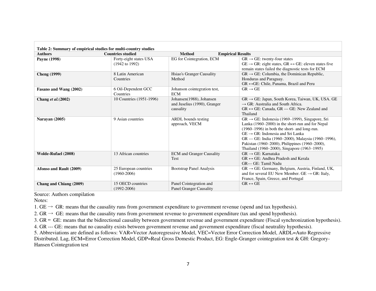| Table 2: Summary of empirical studies for multi-country studies |                                                     |                                                                       |                                                                                                                                                                                                                                                                                                                                                                            |  |  |  |  |
|-----------------------------------------------------------------|-----------------------------------------------------|-----------------------------------------------------------------------|----------------------------------------------------------------------------------------------------------------------------------------------------------------------------------------------------------------------------------------------------------------------------------------------------------------------------------------------------------------------------|--|--|--|--|
| <b>Authors</b>                                                  | <b>Countries studied</b>                            | <b>Method</b>                                                         | <b>Empirical Results</b>                                                                                                                                                                                                                                                                                                                                                   |  |  |  |  |
| Payne (1998)                                                    | Forty-eight states USA<br>$(1942 \text{ to } 1992)$ | EG for Cointegration, ECM                                             | $GR \rightarrow GE$ : twenty-four states<br>$GE \rightarrow GR$ : eight states, $GR \leftrightarrow GE$ : eleven states five<br>remain states failed the diagnostic tests for ECM                                                                                                                                                                                          |  |  |  |  |
| <b>Cheng</b> (1999)                                             | 8 Latin American<br>Countries                       | Hsiao's Granger Causality<br>Method                                   | $GR \rightarrow GE$ : Columbia, the Dominican Republic,<br>Honduras and Paraguay.<br>$GR \leftrightarrow GE$ : Chile, Panama, Brazil and Peru                                                                                                                                                                                                                              |  |  |  |  |
| Fasano and Wang (2002)                                          | 6 Oil-Dependent GCC<br>Countries                    | Johanson cointegration test,<br><b>ECM</b>                            | $GR \rightarrow GE$                                                                                                                                                                                                                                                                                                                                                        |  |  |  |  |
| Chang et al. (2002)                                             | 10 Countries (1951-1996)                            | Johansen(1988), Johansen<br>and Juselius (1990), Granger<br>causality | $GR \rightarrow GE$ : Japan, South Korea, Taiwan, UK, USA. GE<br>$\rightarrow$ GR: Australia and South Africa.<br>$GR \leftrightarrow GE$ : Canada, GR --- GE: New Zealand and<br>Thailand                                                                                                                                                                                 |  |  |  |  |
| Narayan (2005)                                                  | 9 Asian countries                                   | ARDL bounds testing<br>approach, VECM                                 | $GR \rightarrow GE$ : Indonesia (1969–1999), Singapore, Sri<br>Lanka (1960–2000) in the short-run and for Nepal<br>$(1960-1996)$ in both the short- and long-run.<br>$GE \rightarrow GR$ : Indonesia and Sri Lanka<br>GR --- GE: India (1960–2000), Malaysia (1960–1996),<br>Pakistan (1960–2000), Philippines (1960–2000),<br>Thailand (1960-2000), Singapore (1963-1995) |  |  |  |  |
| <b>Wolde-Rufael (2008)</b>                                      | 13 African countries                                | <b>ECM</b> and Granger Causality<br>Test                              | $GR \rightarrow GE$ : Karnataka<br>$GR \leftrightarrow GE$ : Andhra Pradesh and Kerala<br>GR--- GE: Tamil Nadu                                                                                                                                                                                                                                                             |  |  |  |  |
| Afonso and Rault (2009)                                         | 25 European countries<br>$(1960 - 2006)$            | <b>Bootstrap Panel Analysis</b>                                       | GR → GE: Germany, Belgium, Austria, Finland, UK,<br>and for several EU New Member. $GE \rightarrow GR$ : Italy,<br>France, Spain, Greece, and Portugal                                                                                                                                                                                                                     |  |  |  |  |
| Chang and Chiang (2009)                                         | 15 OECD countries<br>$(1992 - 2006)$                | Panel Cointegration and<br><b>Panel Granger Causality</b>             | $GR \leftrightarrow GE$                                                                                                                                                                                                                                                                                                                                                    |  |  |  |  |

Source: Authors compilation

Notes:

1. GE  $\rightarrow$  GR: means that the causality runs from government expenditure to government revenue (spend and tax hypothesis).

2.  $GR \rightarrow GE$ : means that the causality runs from government revenue to government expenditure (tax and spend hypothesis).

3.  $GR \leftrightarrow GE$ : means that the bidirectional causality between government revenue and government expenditure (Fiscal synchronization hypothesis).

4. GR --- GE: means that no causality exists between government revenue and government expenditure (fiscal neutrality hypothesis).

5. Abbreviations are defined as follows: VAR=Vector Autoregressive Model, VEC=Vector Error Correction Model, ARDL=Auto Regressive Distributed. Lag, ECM=Error Correction Model, GDP=Real Gross Domestic Product, EG: Engle-Granger cointegration test & GH: Gregory-

Hansen Cointegration test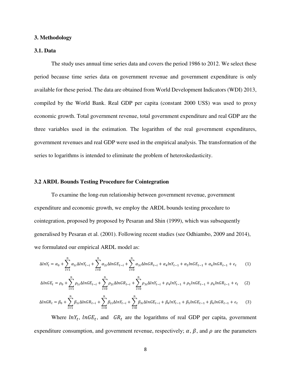#### **3. Methodology**

### **3.1. Data**

The study uses annual time series data and covers the period 1986 to 2012. We select these period because time series data on government revenue and government expenditure is only available for these period. The data are obtained from World Development Indicators (WDI) 2013, compiled by the World Bank. Real GDP per capita (constant 2000 US\$) was used to proxy economic growth. Total government revenue, total government expenditure and real GDP are the three variables used in the estimation. The logarithm of the real government expenditures, government revenues and real GDP were used in the empirical analysis. The transformation of the series to logarithms is intended to eliminate the problem of heteroskedasticity.

#### **3.2 ARDL Bounds Testing Procedure for Cointegration**

To examine the long-run relationship between government revenue, government expenditure and economic growth, we employ the ARDL bounds testing procedure to cointegration, proposed by proposed by Pesaran and Shin (1999), which was subsequently generalised by Pesaran et al. (2001). Following recent studies (see Odhiambo, 2009 and 2014), we formulated our empirical ARDL model as:

$$
\Delta ln Y_t = \alpha_0 + \sum_{i=1}^n \alpha_{1i} \Delta ln Y_{t-i} + \sum_{i=0}^n \alpha_{2i} \Delta ln G E_{t-i} + \sum_{i=0}^n \alpha_{3i} \Delta ln G R_{t-i} + \alpha_4 ln Y_{t-1} + \alpha_5 ln G E_{t-1} + \alpha_6 ln G R_{t-1} + \epsilon_t
$$
(1)

$$
\Delta ln G E_t = \rho_0 + \sum_{i=1}^n \rho_{1i} \Delta ln G E_{t-i} + \sum_{i=0}^n \rho_{2i} \Delta ln G R_{t-i} + \sum_{i=0}^n \rho_{3i} \Delta ln Y_{t-i} + \rho_4 ln Y_{t-1} + \rho_5 ln G E_{t-1} + \rho_6 ln G R_{t-1} + \epsilon_t \tag{2}
$$

$$
\Delta lnGR_t = \beta_0 + \sum_{i=1}^n \beta_{1i} \Delta lnGR_{t-i} + \sum_{i=0}^n \beta_{2i} \Delta lnY_{t-i} + \sum_{i=0}^n \beta_{3i} \Delta lnGE_{t-i} + \beta_4 lnY_{t-1} + \beta_5 lnGE_{t-1} + \beta_6 lnGR_{t-1} + \epsilon_t
$$
 (3)

Where  $lnY_t$ ,  $lnGE_t$ , and  $GR_t$  are the logarithms of real GDP per capita, government expenditure consumption, and government revenue, respectively;  $\alpha$ ,  $\beta$ , and  $\rho$  are the parameters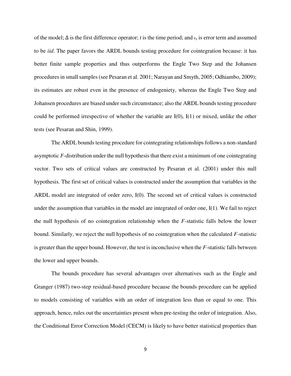of the model;  $\Delta$  is the first difference operator; *t* is the time period; and  $\epsilon_t$  is error term and assumed to be *iid*. The paper favors the ARDL bounds testing procedure for cointegration because: it has better finite sample properties and thus outperforms the Engle Two Step and the Johansen procedures in small samples (see Pesaran et al. 2001; Narayan and Smyth, 2005; Odhiambo, 2009); its estimates are robust even in the presence of endogeniety, whereas the Engle Two Step and Johansen procedures are biased under such circumstance; also the ARDL bounds testing procedure could be performed irrespective of whether the variable are  $I(0)$ ,  $I(1)$  or mixed, unlike the other tests (see Pesaran and Shin, 1999).

The ARDL bounds testing procedure for cointegrating relationships follows a non-standard asymptotic *F*-distribution under the null hypothesis that there exist a minimum of one cointegrating vector. Two sets of critical values are constructed by Pesaran et al. (2001) under this null hypothesis. The first set of critical values is constructed under the assumption that variables in the ARDL model are integrated of order zero, I(0). The second set of critical values is constructed under the assumption that variables in the model are integrated of order one, I(1). We fail to reject the null hypothesis of no cointegration relationship when the *F-*statistic falls below the lower bound. Similarly, we reject the null hypothesis of no cointegration when the calculated *F-*statistic is greater than the upper bound. However, the test is inconclusive when the *F-*statistic falls between the lower and upper bounds.

The bounds procedure has several advantages over alternatives such as the Engle and Granger (1987) two-step residual-based procedure because the bounds procedure can be applied to models consisting of variables with an order of integration less than or equal to one. This approach, hence, rules out the uncertainties present when pre-testing the order of integration. Also, the Conditional Error Correction Model (CECM) is likely to have better statistical properties than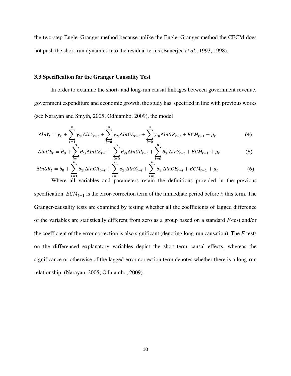the two-step Engle–Granger method because unlike the Engle–Granger method the CECM does not push the short-run dynamics into the residual terms (Banerjee *et al.*, 1993, 1998).

#### **3.3 Specification for the Granger Causality Test**

In order to examine the short- and long-run causal linkages between government revenue, government expenditure and economic growth, the study has specified in line with previous works (see Narayan and Smyth, 2005; Odhiambo, 2009), the model

$$
\Delta ln Y_t = \gamma_0 + \sum_{i=1}^n \gamma_{1i} \Delta ln Y_{t-i} + \sum_{i=0}^n \gamma_{2i} \Delta ln G E_{t-i} + \sum_{i=0}^n \gamma_{3i} \Delta ln G R_{t-i} + E C M_{t-1} + \mu_t
$$
\n(4)

$$
\Delta ln G E_t = \theta_0 + \sum_{\substack{i=1 \ n}}^n \theta_{1i} \Delta ln G E_{t-i} + \sum_{\substack{i=0 \ n}}^n \theta_{2i} \Delta ln G R_{t-i} + \sum_{i=0}^n \theta_{3i} \Delta ln Y_{t-i} + E C M_{t-1} + \mu_t
$$
(5)

$$
\Delta lnGR_t = \delta_0 + \sum_{i=1}^n \delta_{1i} \Delta lnGR_{t-i} + \sum_{i=0}^n \delta_{2i} \Delta lnY_{t-i} + \sum_{i=0}^n \delta_{3i} \Delta lnGE_{t-i} + ECM_{t-1} + \mu_t
$$
 (6)  
Where all variables and parameters retain the definitions provided in the previous

specification.  $ECM_{t-1}$  is the error-correction term of the immediate period before *t*; this term. The Granger-causality tests are examined by testing whether all the coefficients of lagged difference of the variables are statistically different from zero as a group based on a standard *F-*test and/or the coefficient of the error correction is also significant (denoting long-run causation). The *F-*tests on the differenced explanatory variables depict the short-term causal effects, whereas the significance or otherwise of the lagged error correction term denotes whether there is a long-run relationship, (Narayan, 2005; Odhiambo, 2009).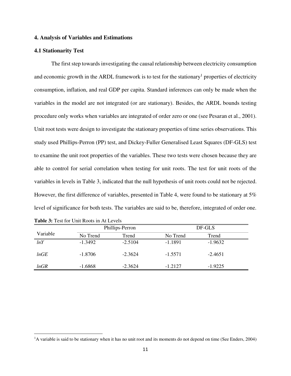### **4. Analysis of Variables and Estimations**

### **4.1 Stationarity Test**

The first step towards investigating the causal relationship between electricity consumption and economic growth in the ARDL framework is to test for the stationary<sup>1</sup> properties of electricity consumption, inflation, and real GDP per capita. Standard inferences can only be made when the variables in the model are not integrated (or are stationary). Besides, the ARDL bounds testing procedure only works when variables are integrated of order zero or one (see Pesaran et al., 2001). Unit root tests were design to investigate the stationary properties of time series observations. This study used Phillips-Perron (PP) test, and Dickey-Fuller Generalised Least Squares (DF-GLS) test to examine the unit root properties of the variables. These two tests were chosen because they are able to control for serial correlation when testing for unit roots. The test for unit roots of the variables in levels in Table 3, indicated that the null hypothesis of unit roots could not be rejected. However, the first difference of variables, presented in Table 4, were found to be stationary at 5% level of significance for both tests. The variables are said to be, therefore, integrated of order one.

|          |           | Phillips-Perron |           | DF-GLS    |  |  |
|----------|-----------|-----------------|-----------|-----------|--|--|
| Variable | No Trend  | Trend           | No Trend  | Trend     |  |  |
| lnY      | $-1.3492$ | $-2.5104$       | $-1.1891$ | $-1.9632$ |  |  |
| lnGE     | $-1.8706$ | $-2.3624$       | $-1.5571$ | $-2.4651$ |  |  |
| lnGR     | $-1.6868$ | $-2.3624$       | $-1.2127$ | $-1.9225$ |  |  |

**Table 3:** Test for Unit Roots in At Levels

ı

<sup>&</sup>lt;sup>1</sup>A variable is said to be stationary when it has no unit root and its moments do not depend on time (See Enders, 2004)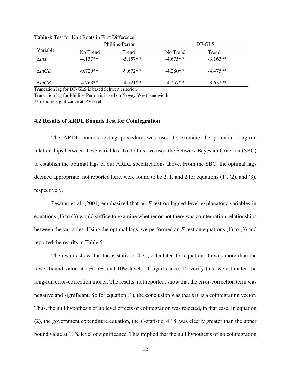|                  | Phillips-Perron |            | DF-GLS     |            |  |
|------------------|-----------------|------------|------------|------------|--|
| Variable         | No Trend        | Trend      | No Trend   | Trend      |  |
| $\triangle lnY$  | $-4.137**$      | $-5.157**$ | $-4.675**$ | $-3.163**$ |  |
| $\Lambda ln GE$  | $-9.720**$      | $-9.672**$ | $-4.280**$ | $-4.475**$ |  |
| $\triangle lnGR$ | $-4.763**$      | $-4.721**$ | $-4.257**$ | $-3.652**$ |  |

**Table 4:** Test for Unit Roots in First Difference

Truncation lag for DF-GLS is based Schwert criterion

Truncation lag for Phillips-Perron is based on Newey-West bandwidth

\*\* denotes significance at 5% level

#### **4.2 Results of ARDL Bounds Test for Cointegration**

The ARDL bounds testing procedure was used to examine the potential long-run relationships between these variables. To do this, we used the Schwarz Bayesian Criterion (SBC) to establish the optimal lags of our ARDL specifications above. From the SBC, the optimal lags deemed appropriate, not reported here, were found to be 2, 1, and 2 for equations (1), (2), and (3), respectively.

Pesaran et al. (2001) emphasized that an *F*-test on lagged level explanatory variables in equations (1) to (3) would suffice to examine whether or not there was cointegration relationships between the variables. Using the optimal lags, we performed an *F*-test on equations (1) to (3) and reported the results in Table 5.

The results show that the *F*-statistic, 4.71, calculated for equation (1) was more than the lower bound value at 1%, 5%, and 10% levels of significance. To verify this, we estimated the long-run error-correction model. The results, not reported, show that the error-correction term was negative and significant. So for equation (1), the conclusion was that *lnY* is a cointegrating vector. Thus, the null hypothesis of no level effects or cointegration was rejected, in that case. In equation (2), the government expenditure equation, the *F*-statistic, 4.18, was clearly greater than the upper bound value at 10% level of significance. This implied that the null hypothesis of no cointegration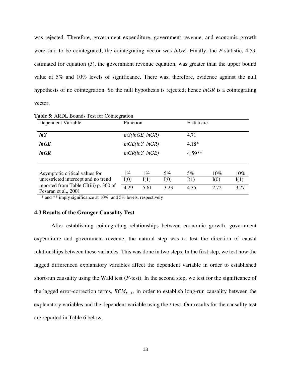was rejected. Therefore, government expenditure, government revenue, and economic growth were said to be cointegrated; the cointegrating vector was *lnGE*. Finally, the *F-*statistic, 4.59, estimated for equation (3), the government revenue equation, was greater than the upper bound value at 5% and 10% levels of significance. There was, therefore, evidence against the null hypothesis of no cointegration. So the null hypothesis is rejected; hence *lnGR* is a cointegrating vector.

| Dependent Variable                                            | <b>Function</b> |                 | F-statistic |         |      |        |
|---------------------------------------------------------------|-----------------|-----------------|-------------|---------|------|--------|
| lnY                                                           | lnY(lnGE, lnGR) |                 | 4.71        |         |      |        |
| lnGE                                                          |                 | lnGE(lnY, lnGR) |             | $4.18*$ |      |        |
| lnGR                                                          | lnGR(lnY, lnGE) |                 | $4.59**$    |         |      |        |
|                                                               |                 |                 |             |         |      |        |
| Asymptotic critical values for                                | $1\%$           | $1\%$           | 5%          | $5\%$   | 10%  | $10\%$ |
| unrestricted intercept and no trend                           | I(0)            | I(1)            | I(0)        | I(1)    | I(0) | I(1)   |
| reported from Table CI(iii) p. 300 of<br>Pesaran et al., 2001 | 4.29            | 5.61            | 3.23        | 4.35    | 2.72 | 3.77   |

**Table 5:** ARDL Bounds Test for Cointegration

\* and \*\* imply significance at 10% and 5% levels, respectively

## **4.3 Results of the Granger Causality Test**

After establishing cointegrating relationships between economic growth, government expenditure and government revenue, the natural step was to test the direction of causal relationships between these variables. This was done in two steps. In the first step, we test how the lagged differenced explanatory variables affect the dependent variable in order to established short-run causality using the Wald test (*F*-test). In the second step, we test for the significance of the lagged error-correction terms,  $ECM_{t-1}$ , in order to establish long-run causality between the explanatory variables and the dependent variable using the *t*-test. Our results for the causality test are reported in Table 6 below.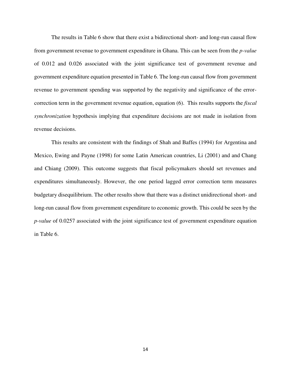The results in Table 6 show that there exist a bidirectional short- and long-run causal flow from government revenue to government expenditure in Ghana. This can be seen from the *p-value* of 0.012 and 0.026 associated with the joint significance test of government revenue and government expenditure equation presented in Table 6. The long-run causal flow from government revenue to government spending was supported by the negativity and significance of the errorcorrection term in the government revenue equation, equation (6). This results supports the *fiscal synchronization* hypothesis implying that expenditure decisions are not made in isolation from revenue decisions.

This results are consistent with the findings of Shah and Baffes (1994) for Argentina and Mexico, Ewing and Payne (1998) for some Latin American countries, Li (2001) and and Chang and Chiang (2009). This outcome suggests that fiscal policymakers should set revenues and expenditures simultaneously. However, the one period lagged error correction term measures budgetary disequilibrium. The other results show that there was a distinct unidirectional short- and long-run causal flow from government expenditure to economic growth. This could be seen by the *p-value* of 0.0257 associated with the joint significance test of government expenditure equation in Table 6.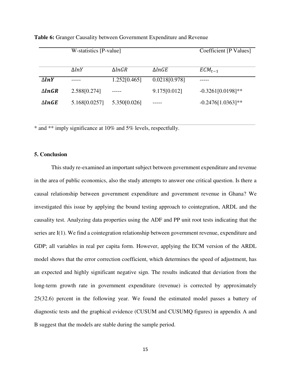|                   | $\overline{W}\text{-statistics}$ [P-value] | $\overline{\text{Coefficient}[\text{P} \text{ Values}]}$ |                   |                     |
|-------------------|--------------------------------------------|----------------------------------------------------------|-------------------|---------------------|
|                   |                                            |                                                          |                   |                     |
|                   | $\Delta lnY$                               | $\Delta lnGR$                                            | $\triangle ln GE$ | $ECM_{t-1}$         |
| $\Delta lnY$      |                                            | 1.252[0.465]                                             | 0.0218[0.978]     |                     |
| $\triangle lnGR$  | 2.588[0.274]                               | -----                                                    | 9.175[0.012]      | $-0.3261[0.0198]*$  |
| $\triangle ln GE$ | 5.168[0.0257]                              | 5.350 $[0.026]$                                          |                   | $-0.2476[1.0363]**$ |
|                   |                                            |                                                          |                   |                     |

**Table 6:** Granger Causality between Government Expenditure and Revenue

\* and \*\* imply significance at 10% and 5% levels, respectfully.

## **5. Conclusion**

This study re-examined an important subject between government expenditure and revenue in the area of public economics, also the study attempts to answer one critical question. Is there a causal relationship between government expenditure and government revenue in Ghana? We investigated this issue by applying the bound testing approach to cointegration, ARDL and the causality test. Analyzing data properties using the ADF and PP unit root tests indicating that the series are I(1). We find a cointegration relationship between government revenue, expenditure and GDP; all variables in real per capita form. However, applying the ECM version of the ARDL model shows that the error correction coefficient, which determines the speed of adjustment, has an expected and highly significant negative sign. The results indicated that deviation from the long-term growth rate in government expenditure (revenue) is corrected by approximately 25(32.6) percent in the following year. We found the estimated model passes a battery of diagnostic tests and the graphical evidence (CUSUM and CUSUMQ figures) in appendix A and B suggest that the models are stable during the sample period.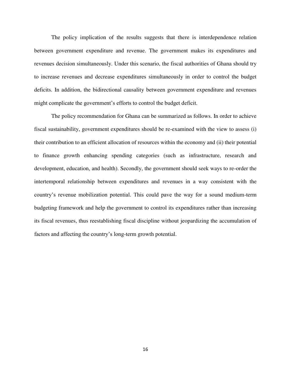The policy implication of the results suggests that there is interdependence relation between government expenditure and revenue. The government makes its expenditures and revenues decision simultaneously. Under this scenario, the fiscal authorities of Ghana should try to increase revenues and decrease expenditures simultaneously in order to control the budget deficits. In addition, the bidirectional causality between government expenditure and revenues might complicate the government's efforts to control the budget deficit.

 The policy recommendation for Ghana can be summarized as follows. In order to achieve fiscal sustainability, government expenditures should be re-examined with the view to assess (i) their contribution to an efficient allocation of resources within the economy and (ii) their potential to finance growth enhancing spending categories (such as infrastructure, research and development, education, and health). Secondly, the government should seek ways to re-order the intertemporal relationship between expenditures and revenues in a way consistent with the country's revenue mobilization potential. This could pave the way for a sound medium-term budgeting framework and help the government to control its expenditures rather than increasing its fiscal revenues, thus reestablishing fiscal discipline without jeopardizing the accumulation of factors and affecting the country's long-term growth potential.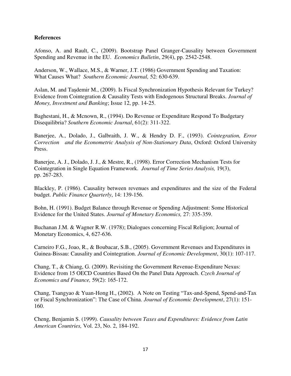## **References**

Afonso, A. and Rault, C., (2009). Bootstrap Panel Granger-Causality between Government Spending and Revenue in the EU. *Economics Bulletin*, 29(4), pp. 2542-2548.

Anderson, W., Wallace, M.S., & Warner, J.T. (1986) Government Spending and Taxation: What Causes What? *Southern Economic Journal,* 52: 630-639.

Aslan, M. and Taşdemir M., (2009). Is Fiscal Synchronization Hypothesis Relevant for Turkey? Evidence from Cointegration & Causality Tests with Endogenous Structural Breaks. *Journal of Money, Investment and Banking*; Issue 12, pp. 14-25.

Baghestani, H., & Mcnown, R., (1994). Do Revenue or Expenditure Respond To Budgetary Disequilibria? *Southern Economic Journal*, 61(2): 311-322.

Banerjee, A., Dolado, J., Galbraith, J. W., & Hendry D. F., (1993). *Cointegration, Error Correction and the Econometric Analysis of Non-Stationary Data*, Oxford: Oxford University Press.

Banerjee, A. J., Dolado, J. J., & Mestre, R., (1998). Error Correction Mechanism Tests for Cointegration in Single Equation Framework. *Journal of Time Series Analysis,* 19(3), pp. 267-283.

Blackley, P. (1986). Causality between revenues and expenditures and the size of the Federal budget. *Public Finance Quarterly*, 14: 139-156.

Bohn, H. (1991). Budget Balance through Revenue or Spending Adjustment: Some Historical Evidence for the United States. *Journal of Monetary Economics,* 27: 335-359.

Buchanan J.M. & Wagner R.W. (1978); Dialogues concerning Fiscal Religion; Journal of Monetary Economics, 4, 627-636.

Carneiro F.G., Joao, R., & Boubacar, S.B., (2005). Government Revenues and Expenditures in Guinea-Bissau: Causality and Cointegration. *Journal of Economic Development*, 30(1): 107-117.

Chang, T., & Chiang, G. (2009). Revisiting the Government Revenue-Expenditure Nexus: Evidence from 15 OECD Countries Based On the Panel Data Approach. *Czech Journal of Economics and Finance,* 59(2): 165-172.

Chang, Tsangyao & Yuan-Hong H., (2002). A Note on Testing "Tax-and-Spend, Spend-and-Tax or Fiscal Synchronization": The Case of China. *Journal of Economic Development*, 27(1): 151- 160.

Cheng, Benjamin S. (1999). *Causality between Taxes and Expenditures: Evidence from Latin American Countries,* Vol. 23, No. 2, 184-192.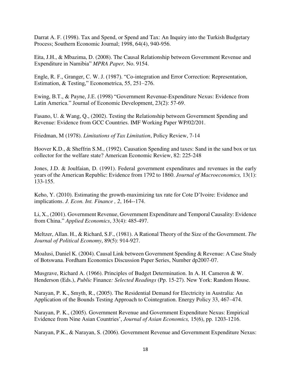Darrat A. F. (1998). Tax and Spend, or Spend and Tax: An Inquiry into the Turkish Budgetary Process; Southern Economic Journal; 1998, 64(4), 940-956.

Eita, J.H., & Mbazima, D. (2008). The Causal Relationship between Government Revenue and Expenditure in Namibia" *MPRA Paper,* No. 9154.

Engle, R. F., Granger, C. W. J. (1987). "Co-integration and Error Correction: Representation, Estimation, & Testing," Econometrica, 55, 251–276.

Ewing, B.T., & Payne, J.E. (1998) "Government Revenue-Expenditure Nexus: Evidence from Latin America." Journal of Economic Development, 23(2): 57-69.

Fasano, U. & Wang, Q., (2002). Testing the Relationship between Government Spending and Revenue: Evidence from GCC Countries. IMF Working Paper WP/02/201.

Friedman, M (1978). *Limitations of Tax Limitation*, Policy Review, 7-14

Hoover K.D., & Sheffrin S.M., (1992). Causation Spending and taxes: Sand in the sand box or tax collector for the welfare state? American Economic Review, 82: 225-248

Jones, J.D. & Joulfaian, D. (1991). Federal government expenditures and revenues in the early years of the American Republic: Evidence from 1792 to 1860. *Journal of Macroeconomics,* 13(1): 133-155.

Keho, Y. (2010). Estimating the growth-maximizing tax rate for Cote D'Ivoire: Evidence and implications. *J. Econ. Int. Finance , 2*, 164--174.

Li, X., (2001). Government Revenue, Government Expenditure and Temporal Causality: Evidence from China." *Applied Economics*, 33(4): 485-497.

Meltzer, Allan. H., & Richard, S.F., (1981). A Rational Theory of the Size of the Government. *The Journal of Political Economy*, 89(5): 914-927.

Moalusi, Daniel K. (2004). Causal Link between Government Spending & Revenue: A Case Study of Botswana. Fordham Economics Discussion Paper Series, Number dp2007-07.

Musgrave, Richard A. (1966). Principles of Budget Determination. In A. H. Cameron & W. Henderson (Eds.), *Public* Finance*: Selected Readings* (Pp. 15-27). New York: Random House.

Narayan, P. K., Smyth, R., (2005). The Residential Demand for Electricity in Australia: An Application of the Bounds Testing Approach to Cointegration. Energy Policy 33, 467–474.

Narayan, P. K., (2005). Government Revenue and Government Expenditure Nexus: Empirical Evidence from Nine Asian Countries', *Journal of Asian Economics,* 15(6), pp. 1203-1216.

Narayan, P.K., & Narayan, S. (2006). Government Revenue and Government Expenditure Nexus: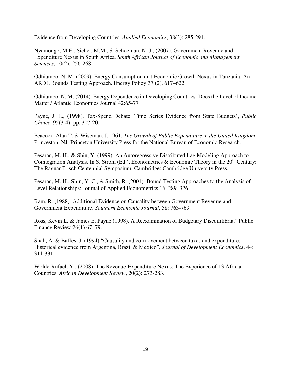Evidence from Developing Countries. *Applied Economics*, 38(3): 285-291.

Nyamongo, M.E., Sichei, M.M., & Schoeman, N. J., (2007). Government Revenue and Expenditure Nexus in South Africa. *South African Journal of Economic and Management Sciences*, 10(2): 256-268.

Odhiambo, N. M. (2009). Energy Consumption and Economic Growth Nexus in Tanzania: An ARDL Bounds Testing Approach. Energy Policy 37 (2), 617–622.

Odhiambo, N. M. (2014). Energy Dependence in Developing Countries: Does the Level of Income Matter? Atlantic Economics Journal 42:65-77

Payne, J. E., (1998). Tax-Spend Debate: Time Series Evidence from State Budgets', *Public Choice*, 95(3-4), pp. 307-20.

Peacock, Alan T. & Wiseman, J. 1961. *The Growth of Public Expenditure in the United Kingdom*. Princeston, NJ: Princeton University Press for the National Bureau of Economic Research.

Pesaran, M. H., & Shin, Y. (1999). An Autoregressive Distributed Lag Modeling Approach to Cointegration Analysis. In S. Strom (Ed.), Econometrics & Economic Theory in the  $20<sup>th</sup>$  Century: The Ragnar Frisch Centennial Symposium, Cambridge: Cambridge University Press.

Pesaran, M. H., Shin, Y. C., & Smith, R. (2001). Bound Testing Approaches to the Analysis of Level Relationships: Journal of Applied Econometrics 16, 289–326.

Ram, R. (1988). Additional Evidence on Causality between Government Revenue and Government Expenditure. *Southern Economic Journal*, 58: 763-769.

Ross, Kevin L. & James E. Payne (1998). A Reexamination of Budgetary Disequilibria," Public Finance Review 26(1) 67–79.

Shah, A. & Baffes, J. (1994) "Causality and co-movement between taxes and expenditure: Historical evidence from Argentina, Brazil & Mexico", *Journal of Development Economics*, 44: 311-331.

Wolde-Rufael, Y., (2008). The Revenue-Expenditure Nexus: The Experience of 13 African Countries. *African Development Review*, 20(2): 273-283.